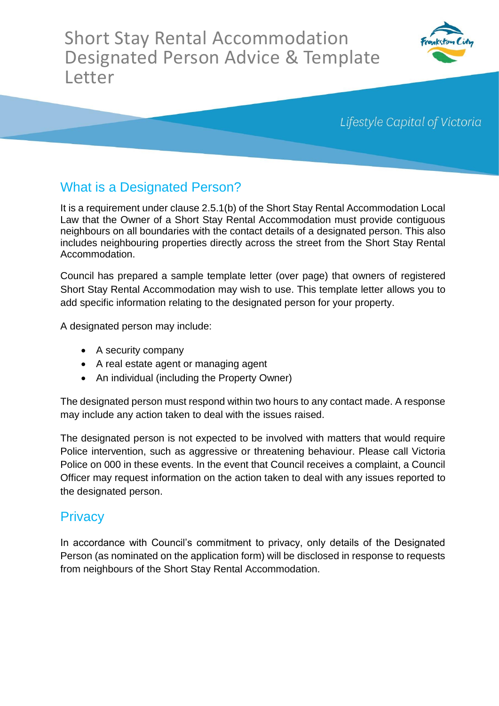Short Stay Rental Accommodation Designated Person Advice & Template Letter



Lifestyle Capital of Victoria

## What is a Designated Person?

It is a requirement under clause 2.5.1(b) of the Short Stay Rental Accommodation Local Law that the Owner of a Short Stay Rental Accommodation must provide contiguous neighbours on all boundaries with the contact details of a designated person. This also includes neighbouring properties directly across the street from the Short Stay Rental Accommodation.

Council has prepared a sample template letter (over page) that owners of registered Short Stay Rental Accommodation may wish to use. This template letter allows you to add specific information relating to the designated person for your property.

A designated person may include:

- A security company
- A real estate agent or managing agent
- An individual (including the Property Owner)

The designated person must respond within two hours to any contact made. A response may include any action taken to deal with the issues raised.

The designated person is not expected to be involved with matters that would require Police intervention, such as aggressive or threatening behaviour. Please call Victoria Police on 000 in these events. In the event that Council receives a complaint, a Council Officer may request information on the action taken to deal with any issues reported to the designated person.

## **Privacy**

In accordance with Council's commitment to privacy, only details of the Designated Person (as nominated on the application form) will be disclosed in response to requests from neighbours of the Short Stay Rental Accommodation.